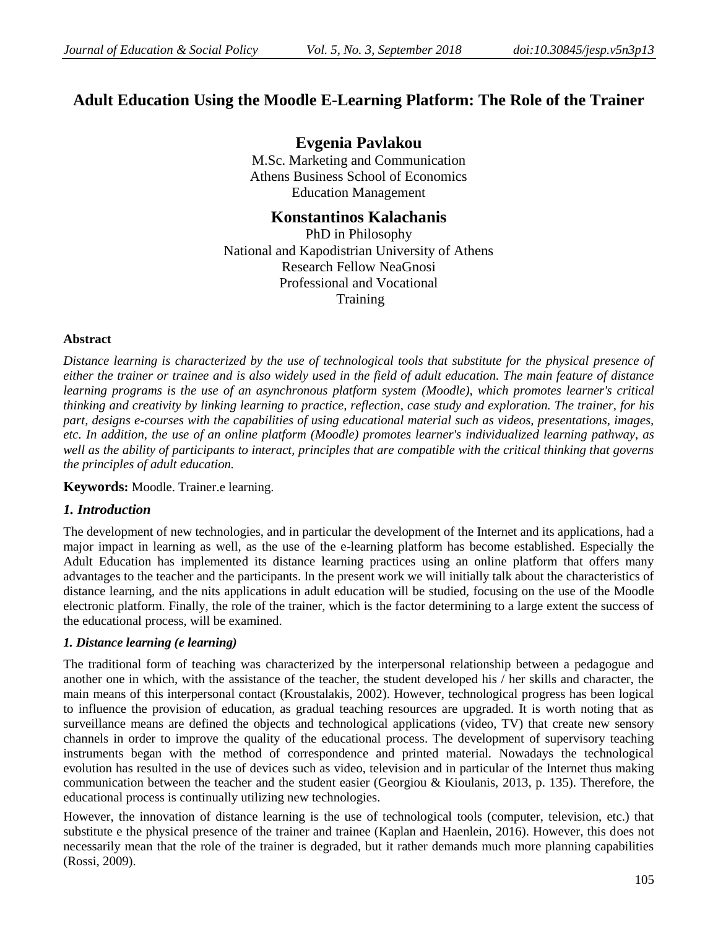# **Adult Education Using the Moodle E-Learning Platform: The Role of the Trainer**

**Evgenia Pavlakou** M.Sc. Marketing and Communication Athens Business School of Economics Education Management

# **Konstantinos Kalachanis**

PhD in Philosophy National and Kapodistrian University of Athens Research Fellow NeaGnosi Professional and Vocational **Training** 

#### **Abstract**

*Distance learning is characterized by the use of technological tools that substitute for the physical presence of either the trainer or trainee and is also widely used in the field of adult education. The main feature of distance learning programs is the use of an asynchronous platform system (Moodle), which promotes learner's critical thinking and creativity by linking learning to practice, reflection, case study and exploration. The trainer, for his part, designs e-courses with the capabilities of using educational material such as videos, presentations, images, etc. In addition, the use of an online platform (Moodle) promotes learner's individualized learning pathway, as well as the ability of participants to interact, principles that are compatible with the critical thinking that governs the principles of adult education.*

**Keywords:** Moodle. Trainer.e learning.

## *1. Introduction*

The development of new technologies, and in particular the development of the Internet and its applications, had a major impact in learning as well, as the use of the e-learning platform has become established. Especially the Adult Education has implemented its distance learning practices using an online platform that offers many advantages to the teacher and the participants. In the present work we will initially talk about the characteristics of distance learning, and the nits applications in adult education will be studied, focusing on the use of the Moodle electronic platform. Finally, the role of the trainer, which is the factor determining to a large extent the success of the educational process, will be examined.

#### *1. Distance learning (e learning)*

The traditional form of teaching was characterized by the interpersonal relationship between a pedagogue and another one in which, with the assistance of the teacher, the student developed his / her skills and character, the main means of this interpersonal contact (Kroustalakis, 2002). However, technological progress has been logical to influence the provision of education, as gradual teaching resources are upgraded. It is worth noting that as surveillance means are defined the objects and technological applications (video, TV) that create new sensory channels in order to improve the quality of the educational process. The development of supervisory teaching instruments began with the method of correspondence and printed material. Nowadays the technological evolution has resulted in the use of devices such as video, television and in particular of the Internet thus making communication between the teacher and the student easier (Georgiou & Kioulanis, 2013, p. 135). Therefore, the educational process is continually utilizing new technologies.

However, the innovation of distance learning is the use of technological tools (computer, television, etc.) that substitute e the physical presence of the trainer and trainee (Kaplan and Haenlein, 2016). However, this does not necessarily mean that the role of the trainer is degraded, but it rather demands much more planning capabilities (Rossi, 2009).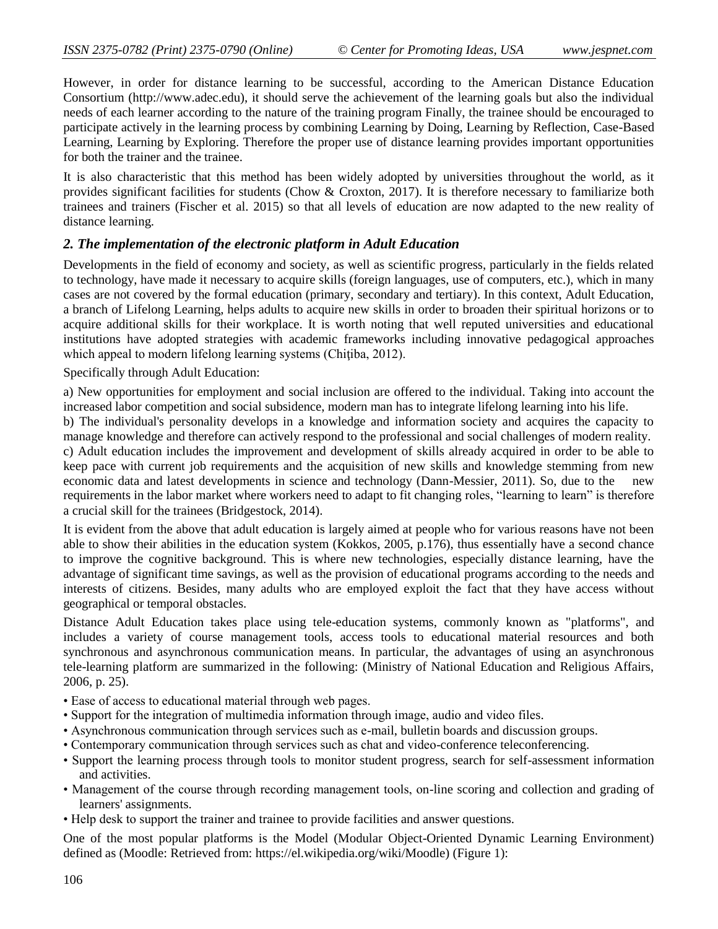However, in order for distance learning to be successful, according to the American Distance Education Consortium (http://www.adec.edu), it should serve the achievement of the learning goals but also the individual needs of each learner according to the nature of the training program Finally, the trainee should be encouraged to participate actively in the learning process by combining Learning by Doing, Learning by Reflection, Case-Based Learning, Learning by Exploring. Therefore the proper use of distance learning provides important opportunities for both the trainer and the trainee.

It is also characteristic that this method has been widely adopted by universities throughout the world, as it provides significant facilities for students (Chow & Croxton, 2017). It is therefore necessary to familiarize both trainees and trainers (Fischer et al. 2015) so that all levels of education are now adapted to the new reality of distance learning.

#### *2. The implementation of the electronic platform in Adult Education*

Developments in the field of economy and society, as well as scientific progress, particularly in the fields related to technology, have made it necessary to acquire skills (foreign languages, use of computers, etc.), which in many cases are not covered by the formal education (primary, secondary and tertiary). In this context, Adult Education, a branch of Lifelong Learning, helps adults to acquire new skills in order to broaden their spiritual horizons or to acquire additional skills for their workplace. It is worth noting that well reputed universities and educational institutions have adopted strategies with academic frameworks including innovative pedagogical approaches which appeal to modern lifelong learning systems (Chitiba, 2012).

Specifically through Adult Education:

a) New opportunities for employment and social inclusion are offered to the individual. Taking into account the increased labor competition and social subsidence, modern man has to integrate lifelong learning into his life.

b) The individual's personality develops in a knowledge and information society and acquires the capacity to manage knowledge and therefore can actively respond to the professional and social challenges of modern reality.

c) Adult education includes the improvement and development of skills already acquired in order to be able to keep pace with current job requirements and the acquisition of new skills and knowledge stemming from new economic data and latest developments in science and technology (Dann-Messier, 2011). So, due to the new requirements in the labor market where workers need to adapt to fit changing roles, "learning to learn" is therefore a crucial skill for the trainees (Bridgestock, 2014).

It is evident from the above that adult education is largely aimed at people who for various reasons have not been able to show their abilities in the education system (Kokkos, 2005, p.176), thus essentially have a second chance to improve the cognitive background. This is where new technologies, especially distance learning, have the advantage of significant time savings, as well as the provision of educational programs according to the needs and interests of citizens. Besides, many adults who are employed exploit the fact that they have access without geographical or temporal obstacles.

Distance Adult Education takes place using tele-education systems, commonly known as "platforms", and includes a variety of course management tools, access tools to educational material resources and both synchronous and asynchronous communication means. In particular, the advantages of using an asynchronous tele-learning platform are summarized in the following: (Ministry of National Education and Religious Affairs, 2006, p. 25).

- Ease of access to educational material through web pages.
- Support for the integration of multimedia information through image, audio and video files.
- Asynchronous communication through services such as e-mail, bulletin boards and discussion groups.
- Contemporary communication through services such as chat and video-conference teleconferencing.
- Support the learning process through tools to monitor student progress, search for self-assessment information and activities.
- Management of the course through recording management tools, on-line scoring and collection and grading of learners' assignments.
- Help desk to support the trainer and trainee to provide facilities and answer questions.

One of the most popular platforms is the Model (Modular Object-Oriented Dynamic Learning Environment) defined as (Moodle: Retrieved from: https://el.wikipedia.org/wiki/Moodle) (Figure 1):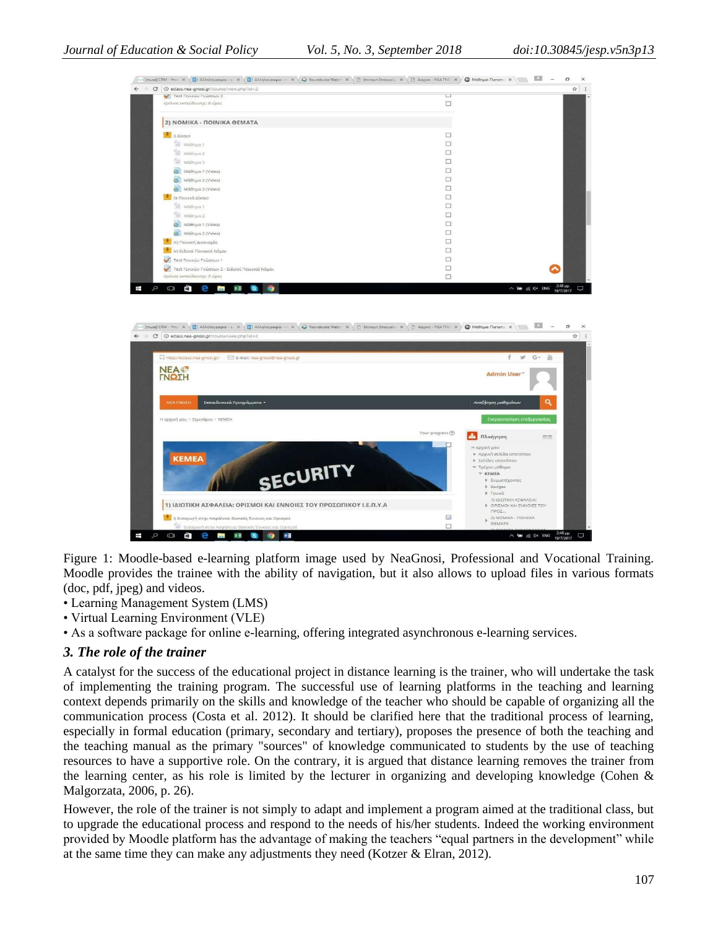

Figure 1: Moodle-based e-learning platform image used by NeaGnosi, Professional and Vocational Training. Moodle provides the trainee with the ability of navigation, but it also allows to upload files in various formats (doc, pdf, jpeg) and videos.

- Learning Management System (LMS)
- Virtual Learning Environment (VLE)
- As a software package for online e-learning, offering integrated asynchronous e-learning services.

#### *3. The role of the trainer*

A catalyst for the success of the educational project in distance learning is the trainer, who will undertake the task of implementing the training program. The successful use of learning platforms in the teaching and learning context depends primarily on the skills and knowledge of the teacher who should be capable of organizing all the communication process (Costa et al. 2012). It should be clarified here that the traditional process of learning, especially in formal education (primary, secondary and tertiary), proposes the presence of both the teaching and the teaching manual as the primary "sources" of knowledge communicated to students by the use of teaching resources to have a supportive role. On the contrary, it is argued that distance learning removes the trainer from the learning center, as his role is limited by the lecturer in organizing and developing knowledge (Cohen & Malgorzata, 2006, p. 26).

However, the role of the trainer is not simply to adapt and implement a program aimed at the traditional class, but to upgrade the educational process and respond to the needs of his/her students. Indeed the working environment provided by Moodle platform has the advantage of making the teachers "equal partners in the development" while at the same time they can make any adjustments they need (Kotzer & Elran, 2012).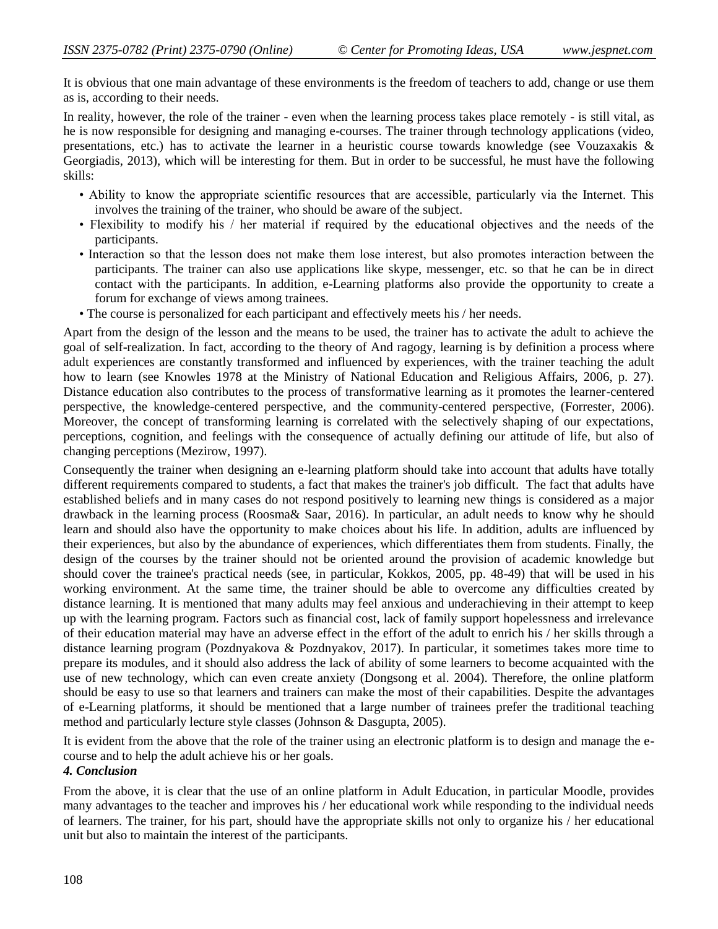It is obvious that one main advantage of these environments is the freedom of teachers to add, change or use them as is, according to their needs.

In reality, however, the role of the trainer - even when the learning process takes place remotely - is still vital, as he is now responsible for designing and managing e-courses. The trainer through technology applications (video, presentations, etc.) has to activate the learner in a heuristic course towards knowledge (see Vouzaxakis  $\&$ Georgiadis, 2013), which will be interesting for them. But in order to be successful, he must have the following skills:

- Ability to know the appropriate scientific resources that are accessible, particularly via the Internet. This involves the training of the trainer, who should be aware of the subject.
- Flexibility to modify his / her material if required by the educational objectives and the needs of the participants.
- Interaction so that the lesson does not make them lose interest, but also promotes interaction between the participants. The trainer can also use applications like skype, messenger, etc. so that he can be in direct contact with the participants. In addition, e-Learning platforms also provide the opportunity to create a forum for exchange of views among trainees.
- The course is personalized for each participant and effectively meets his / her needs.

Apart from the design of the lesson and the means to be used, the trainer has to activate the adult to achieve the goal of self-realization. In fact, according to the theory of And ragogy, learning is by definition a process where adult experiences are constantly transformed and influenced by experiences, with the trainer teaching the adult how to learn (see Knowles 1978 at the Ministry of National Education and Religious Affairs, 2006, p. 27). Distance education also contributes to the process of transformative learning as it promotes the learner-centered perspective, the knowledge-centered perspective, and the community-centered perspective, (Forrester, 2006). Moreover, the concept of transforming learning is correlated with the selectively shaping of our expectations, perceptions, cognition, and feelings with the consequence of actually defining our attitude of life, but also of changing perceptions (Mezirow, 1997).

Consequently the trainer when designing an e-learning platform should take into account that adults have totally different requirements compared to students, a fact that makes the trainer's job difficult. The fact that adults have established beliefs and in many cases do not respond positively to learning new things is considered as a major drawback in the learning process (Roosma& Saar, 2016). In particular, an adult needs to know why he should learn and should also have the opportunity to make choices about his life. In addition, adults are influenced by their experiences, but also by the abundance of experiences, which differentiates them from students. Finally, the design of the courses by the trainer should not be oriented around the provision of academic knowledge but should cover the trainee's practical needs (see, in particular, Kokkos, 2005, pp. 48-49) that will be used in his working environment. At the same time, the trainer should be able to overcome any difficulties created by distance learning. It is mentioned that many adults may feel anxious and underachieving in their attempt to keep up with the learning program. Factors such as financial cost, lack of family support hopelessness and irrelevance of their education material may have an adverse effect in the effort of the adult to enrich his / her skills through a distance learning program (Pozdnyakova & Pozdnyakov, 2017). In particular, it sometimes takes more time to prepare its modules, and it should also address the lack of ability of some learners to become acquainted with the use of new technology, which can even create anxiety (Dongsong et al. 2004). Therefore, the online platform should be easy to use so that learners and trainers can make the most of their capabilities. Despite the advantages of e-Learning platforms, it should be mentioned that a large number of trainees prefer the traditional teaching method and particularly lecture style classes (Johnson & Dasgupta, 2005).

It is evident from the above that the role of the trainer using an electronic platform is to design and manage the ecourse and to help the adult achieve his or her goals.

#### *4. Conclusion*

From the above, it is clear that the use of an online platform in Adult Education, in particular Moodle, provides many advantages to the teacher and improves his / her educational work while responding to the individual needs of learners. The trainer, for his part, should have the appropriate skills not only to organize his / her educational unit but also to maintain the interest of the participants.